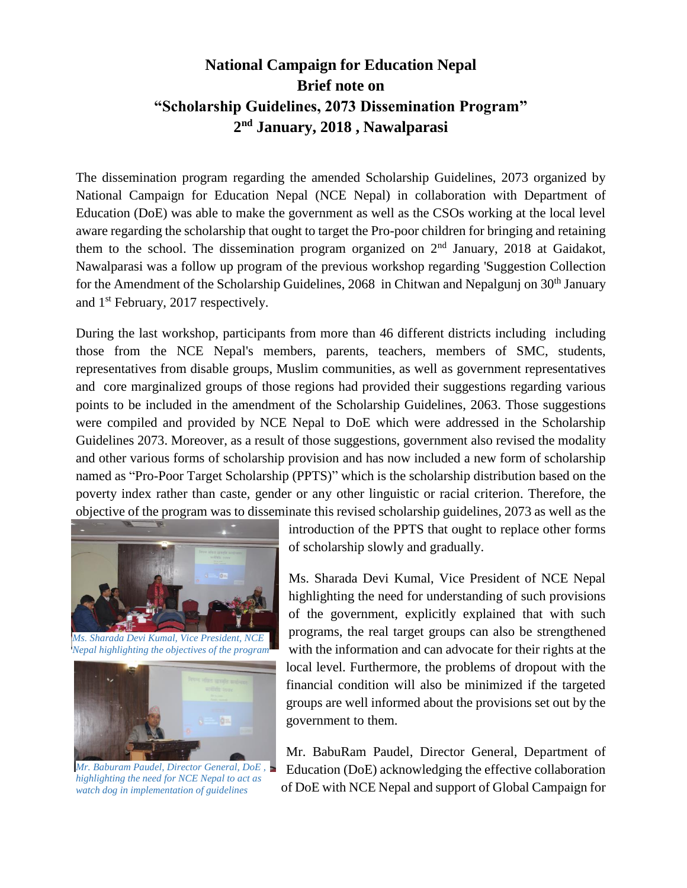## **National Campaign for Education Nepal Brief note on "Scholarship Guidelines, 2073 Dissemination Program" 2 nd January, 2018 , Nawalparasi**

The dissemination program regarding the amended Scholarship Guidelines, 2073 organized by National Campaign for Education Nepal (NCE Nepal) in collaboration with Department of Education (DoE) was able to make the government as well as the CSOs working at the local level aware regarding the scholarship that ought to target the Pro-poor children for bringing and retaining them to the school. The dissemination program organized on  $2<sup>nd</sup>$  January, 2018 at Gaidakot, Nawalparasi was a follow up program of the previous workshop regarding 'Suggestion Collection for the Amendment of the Scholarship Guidelines, 2068 in Chitwan and Nepalgunj on 30<sup>th</sup> January and 1st February, 2017 respectively.

During the last workshop, participants from more than 46 different districts including including those from the NCE Nepal's members, parents, teachers, members of SMC, students, representatives from disable groups, Muslim communities, as well as government representatives and core marginalized groups of those regions had provided their suggestions regarding various points to be included in the amendment of the Scholarship Guidelines, 2063. Those suggestions were compiled and provided by NCE Nepal to DoE which were addressed in the Scholarship Guidelines 2073. Moreover, as a result of those suggestions, government also revised the modality and other various forms of scholarship provision and has now included a new form of scholarship named as "Pro-Poor Target Scholarship (PPTS)" which is the scholarship distribution based on the poverty index rather than caste, gender or any other linguistic or racial criterion. Therefore, the objective of the program was to disseminate this revised scholarship guidelines, 2073 as well as the



*Ms. Sharada Devi Kumal, Vice President, NCE Nepal highlighting the objectives of the program*



*Mr. Baburam Paudel, Director General, DoE , highlighting the need for NCE Nepal to act as watch dog in implementation of guidelines*

introduction of the PPTS that ought to replace other forms of scholarship slowly and gradually.

Ms. Sharada Devi Kumal, Vice President of NCE Nepal highlighting the need for understanding of such provisions of the government, explicitly explained that with such programs, the real target groups can also be strengthened with the information and can advocate for their rights at the local level. Furthermore, the problems of dropout with the financial condition will also be minimized if the targeted groups are well informed about the provisions set out by the government to them.

Mr. BabuRam Paudel, Director General, Department of Education (DoE) acknowledging the effective collaboration of DoE with NCE Nepal and support of Global Campaign for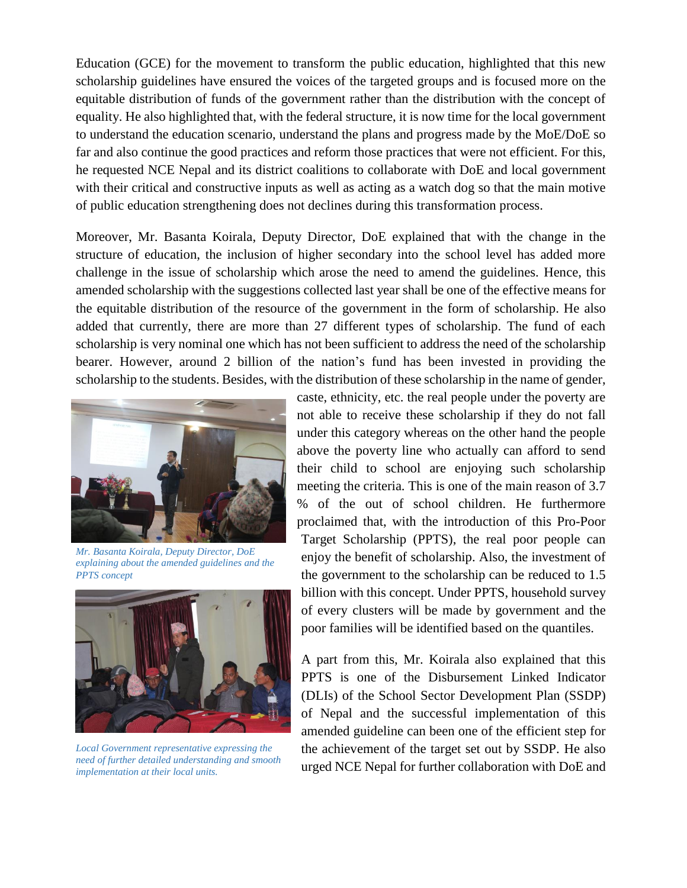Education (GCE) for the movement to transform the public education, highlighted that this new scholarship guidelines have ensured the voices of the targeted groups and is focused more on the equitable distribution of funds of the government rather than the distribution with the concept of equality. He also highlighted that, with the federal structure, it is now time for the local government to understand the education scenario, understand the plans and progress made by the MoE/DoE so far and also continue the good practices and reform those practices that were not efficient. For this, he requested NCE Nepal and its district coalitions to collaborate with DoE and local government with their critical and constructive inputs as well as acting as a watch dog so that the main motive of public education strengthening does not declines during this transformation process.

Moreover, Mr. Basanta Koirala, Deputy Director, DoE explained that with the change in the structure of education, the inclusion of higher secondary into the school level has added more challenge in the issue of scholarship which arose the need to amend the guidelines. Hence, this amended scholarship with the suggestions collected last year shall be one of the effective means for the equitable distribution of the resource of the government in the form of scholarship. He also added that currently, there are more than 27 different types of scholarship. The fund of each scholarship is very nominal one which has not been sufficient to address the need of the scholarship bearer. However, around 2 billion of the nation's fund has been invested in providing the scholarship to the students. Besides, with the distribution of these scholarship in the name of gender,



*Mr. Basanta Koirala, Deputy Director, DoE explaining about the amended guidelines and the PPTS concept*



*Local Government representative expressing the need of further detailed understanding and smooth implementation at their local units.*

caste, ethnicity, etc. the real people under the poverty are not able to receive these scholarship if they do not fall under this category whereas on the other hand the people above the poverty line who actually can afford to send their child to school are enjoying such scholarship meeting the criteria. This is one of the main reason of 3.7 % of the out of school children. He furthermore proclaimed that, with the introduction of this Pro-Poor Target Scholarship (PPTS), the real poor people can enjoy the benefit of scholarship. Also, the investment of the government to the scholarship can be reduced to 1.5 billion with this concept. Under PPTS, household survey of every clusters will be made by government and the poor families will be identified based on the quantiles.

A part from this, Mr. Koirala also explained that this PPTS is one of the Disbursement Linked Indicator (DLIs) of the School Sector Development Plan (SSDP) of Nepal and the successful implementation of this amended guideline can been one of the efficient step for the achievement of the target set out by SSDP. He also urged NCE Nepal for further collaboration with DoE and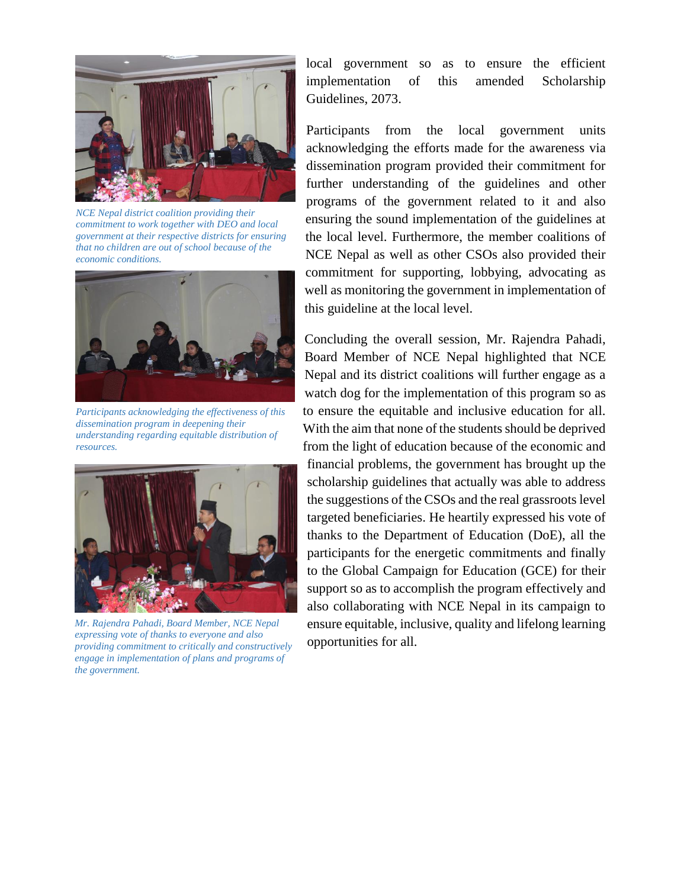

*NCE Nepal district coalition providing their commitment to work together with DEO and local government at their respective districts for ensuring that no children are out of school because of the economic conditions.*



*Participants acknowledging the effectiveness of this dissemination program in deepening their understanding regarding equitable distribution of resources.*



*Mr. Rajendra Pahadi, Board Member, NCE Nepal expressing vote of thanks to everyone and also providing commitment to critically and constructively engage in implementation of plans and programs of the government.*

local government so as to ensure the efficient implementation of this amended Scholarship Guidelines, 2073.

Participants from the local government units acknowledging the efforts made for the awareness via dissemination program provided their commitment for further understanding of the guidelines and other programs of the government related to it and also ensuring the sound implementation of the guidelines at the local level. Furthermore, the member coalitions of NCE Nepal as well as other CSOs also provided their commitment for supporting, lobbying, advocating as well as monitoring the government in implementation of this guideline at the local level.

Concluding the overall session, Mr. Rajendra Pahadi, Board Member of NCE Nepal highlighted that NCE Nepal and its district coalitions will further engage as a watch dog for the implementation of this program so as to ensure the equitable and inclusive education for all. With the aim that none of the students should be deprived from the light of education because of the economic and financial problems, the government has brought up the scholarship guidelines that actually was able to address the suggestions of the CSOs and the real grassroots level targeted beneficiaries. He heartily expressed his vote of thanks to the Department of Education (DoE), all the participants for the energetic commitments and finally to the Global Campaign for Education (GCE) for their support so as to accomplish the program effectively and also collaborating with NCE Nepal in its campaign to ensure equitable, inclusive, quality and lifelong learning opportunities for all.